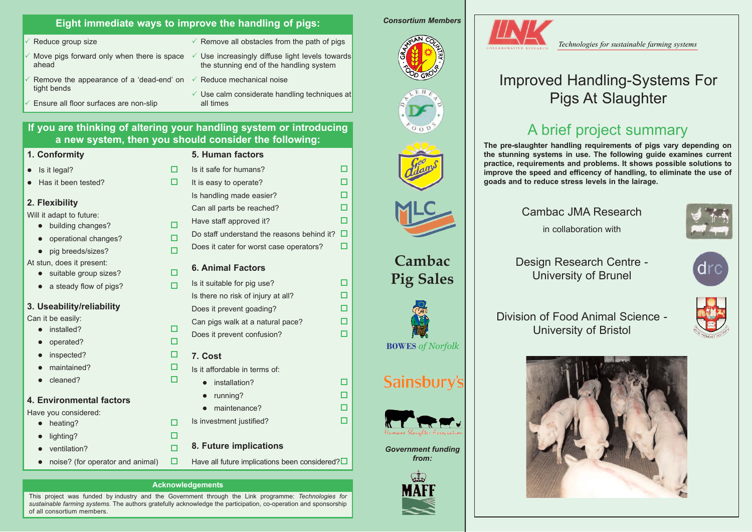| $\checkmark$ Reduce group size                                                                                                                                   |  | $\checkmark$ Remove all obstacles from the path of pigs                                    |  |
|------------------------------------------------------------------------------------------------------------------------------------------------------------------|--|--------------------------------------------------------------------------------------------|--|
| $\checkmark$ Move pigs forward only when there is space<br>ahead                                                                                                 |  | √ Use increasingly diffuse light levels towards<br>the stunning end of the handling system |  |
| $\checkmark$ Remove the appearance of a 'dead-end' on $\checkmark$ Reduce mechanical noise<br>tight bends<br>$\checkmark$ Ensure all floor surfaces are non-slip |  |                                                                                            |  |
|                                                                                                                                                                  |  | $\checkmark$ Use calm considerate handling techniques at<br>all times                      |  |

### **1. Conformity**   $\bullet$  Is it legal?  $\bullet$  Has it been tested? **2. Flexibility** Will it adapt to future:  $\bullet$  building changes?  $\bullet$  operational changes?  $\bullet$  pig breeds/sizes? At stun, does it present:  $\bullet$  suitable group sizes?  $\Box$ • a steady flow of pigs?  $\Box$ **3. Useability/reliability** Can it be easily:  $\bullet$  installed?  $\Box$  $\bullet$  operated?  $\bullet$  inspected?  $\bullet$  maintained?  $\Box$  $\bullet$  cleaned?  $\Box$ **4. Environmental factors** Have you considered: • heating?  $\Box$  $\bullet$  lighting?  $\Box$  $\bullet$  ventilation? • noise? (for operator and animal)  $\square$ **5. Human factors** Is it safe for humans? It is easy to operate? Is handling made easier? Can all parts be reached? Have staff approved it? Do staff understand the reasons behind it?  $\square$ Does it cater for worst case operators?  $\Box$ **6. Animal Factors** Is it suitable for pig use? Is there no risk of injury at all? Does it prevent goading? Can pigs walk at a natural pace?  $\Box$ Does it prevent confusion? **7. Cost** Is it affordable in terms of:  $\bullet$  installation?  $\Box$  $\bullet$  running?  $\Box$  $\bullet$  maintenance?  $\Box$ Is investment justified? □ **8. Future implications** Have all future implications been considered? $\square$

This project was funded by industry and the Government through the Link programme: *Technologies for sustainable farming systems*. The authors gratefully acknowledge the participation, co-operation and sponsorship of all consortium members.

### *Consortium Members*









*Government funding from:*





# **Cambac Pig Sales**



*Technologies for sustainable farming systems*

Cambac JMA Research

in collaboration with

Design Research Centre - University of Brunel

Division of Food Animal Science - University of Bristol









# Improved Handling-Systems For Pigs At Slaughter

## A brief project summary

**The pre-slaughter handling requirements of pigs vary depending on the stunning systems in use. The following guide examines current practice, requirements and problems. It shows possible solutions to improve the speed and efficency of handling, to eliminate the use of goads and to reduce stress levels in the lairage.** 



**BOWES** *of Norfolk*

# **Sainsbury's**



## **Eight immediate ways to improve the handling of pigs:**

## **If you are thinking of altering your handling system or introducing a new system, then you should consider the following:**

### **Acknowledgements**